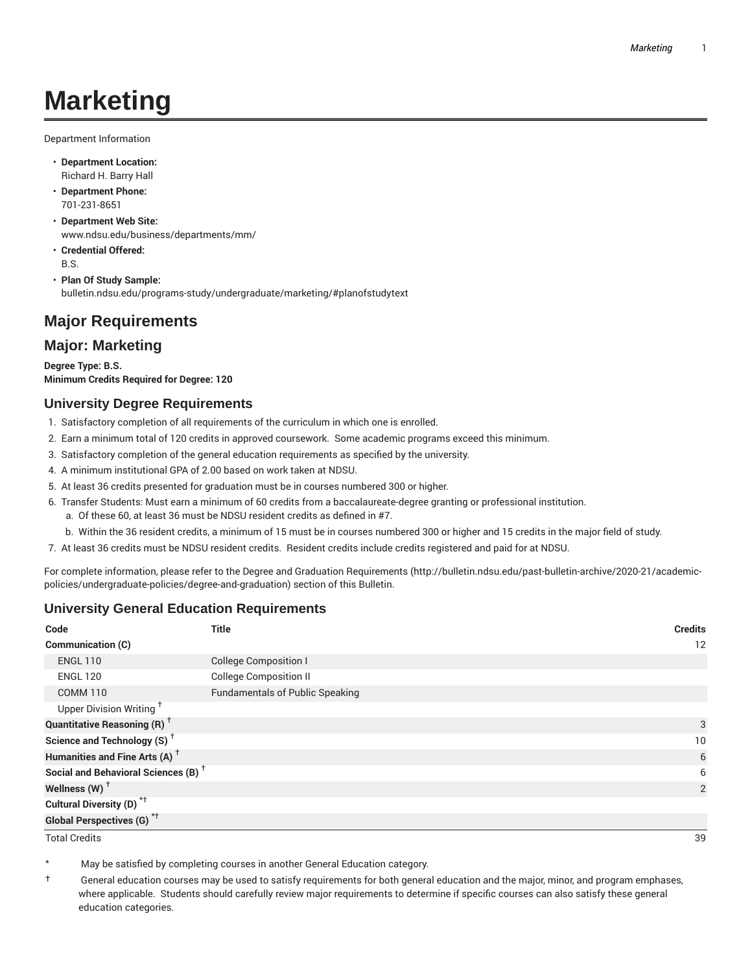# **Marketing**

Department Information

- **Department Location:** Richard H. Barry Hall
- **Department Phone:** 701-231-8651
- **Department Web Site:** www.ndsu.edu/business/departments/mm/
- **Credential Offered:** B.S.
- **Plan Of Study Sample:** bulletin.ndsu.edu/programs-study/undergraduate/marketing/#planofstudytext

# **Major Requirements**

## **Major: Marketing**

**Degree Type: B.S. Minimum Credits Required for Degree: 120**

#### **University Degree Requirements**

- 1. Satisfactory completion of all requirements of the curriculum in which one is enrolled.
- 2. Earn a minimum total of 120 credits in approved coursework. Some academic programs exceed this minimum.
- 3. Satisfactory completion of the general education requirements as specified by the university.
- 4. A minimum institutional GPA of 2.00 based on work taken at NDSU.
- 5. At least 36 credits presented for graduation must be in courses numbered 300 or higher.
- 6. Transfer Students: Must earn a minimum of 60 credits from a baccalaureate-degree granting or professional institution.
	- a. Of these 60, at least 36 must be NDSU resident credits as defined in #7.
	- b. Within the 36 resident credits, a minimum of 15 must be in courses numbered 300 or higher and 15 credits in the major field of study.
- 7. At least 36 credits must be NDSU resident credits. Resident credits include credits registered and paid for at NDSU.

For complete information, please refer to the Degree and Graduation Requirements (http://bulletin.ndsu.edu/past-bulletin-archive/2020-21/academicpolicies/undergraduate-policies/degree-and-graduation) section of this Bulletin.

### **University General Education Requirements**

| Code                                            | <b>Title</b>                           | <b>Credits</b> |
|-------------------------------------------------|----------------------------------------|----------------|
| Communication (C)                               |                                        | 12             |
| <b>ENGL 110</b>                                 | <b>College Composition I</b>           |                |
| <b>ENGL 120</b>                                 | <b>College Composition II</b>          |                |
| <b>COMM 110</b>                                 | <b>Fundamentals of Public Speaking</b> |                |
| Upper Division Writing <sup>+</sup>             |                                        |                |
| <b>Quantitative Reasoning (R)</b> <sup>†</sup>  |                                        | 3              |
| Science and Technology (S) <sup>+</sup>         |                                        | 10             |
| Humanities and Fine Arts (A) <sup>+</sup>       |                                        | 6              |
| Social and Behavioral Sciences (B) <sup>+</sup> |                                        | 6              |
| Wellness $(W)$ <sup>+</sup>                     |                                        | 2              |
| Cultural Diversity (D) <sup>*†</sup>            |                                        |                |
| <b>Global Perspectives (G)<sup>*†</sup></b>     |                                        |                |

Total Credits 39

May be satisfied by completing courses in another General Education category.

† General education courses may be used to satisfy requirements for both general education and the major, minor, and program emphases, where applicable. Students should carefully review major requirements to determine if specific courses can also satisfy these general education categories.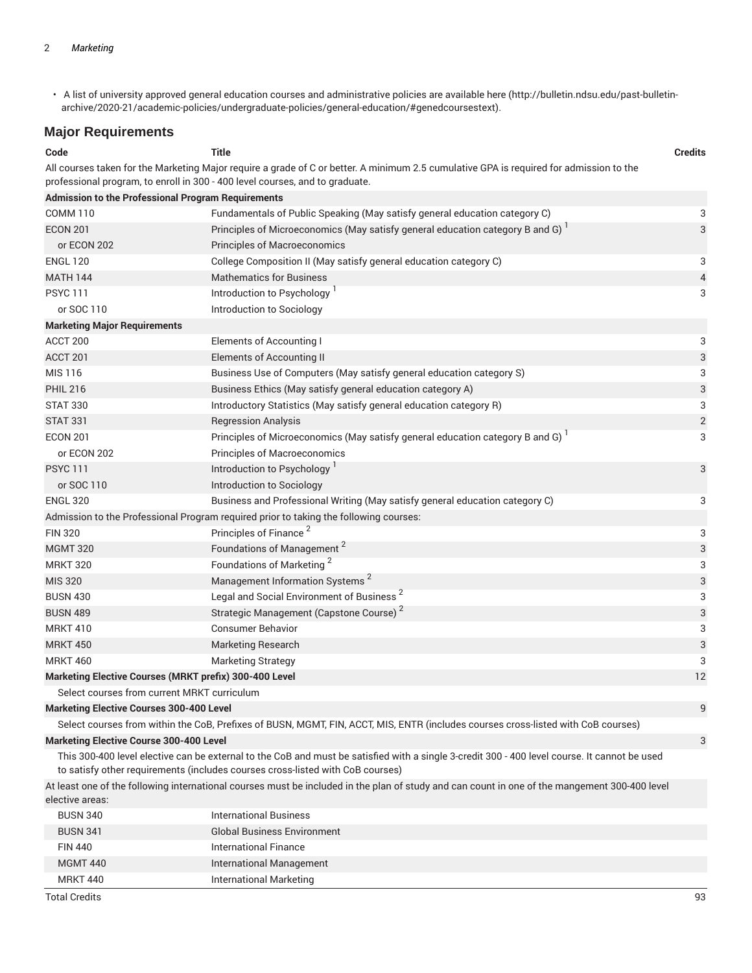• A list of university approved general education courses and administrative policies are available here (http://bulletin.ndsu.edu/past-bulletinarchive/2020-21/academic-policies/undergraduate-policies/general-education/#genedcoursestext).

## **Major Requirements**

| Code                                                                                                                                          | <b>Title</b>                                                                                                                                  | <b>Credits</b> |  |  |
|-----------------------------------------------------------------------------------------------------------------------------------------------|-----------------------------------------------------------------------------------------------------------------------------------------------|----------------|--|--|
|                                                                                                                                               | All courses taken for the Marketing Major require a grade of C or better. A minimum 2.5 cumulative GPA is required for admission to the       |                |  |  |
|                                                                                                                                               | professional program, to enroll in 300 - 400 level courses, and to graduate.                                                                  |                |  |  |
| <b>Admission to the Professional Program Requirements</b>                                                                                     |                                                                                                                                               |                |  |  |
| <b>COMM 110</b>                                                                                                                               | Fundamentals of Public Speaking (May satisfy general education category C)                                                                    | 3              |  |  |
| <b>ECON 201</b>                                                                                                                               | Principles of Microeconomics (May satisfy general education category B and G)                                                                 | 3              |  |  |
| or ECON 202                                                                                                                                   | <b>Principles of Macroeconomics</b>                                                                                                           |                |  |  |
| <b>ENGL 120</b>                                                                                                                               | College Composition II (May satisfy general education category C)                                                                             | 3              |  |  |
| <b>MATH 144</b>                                                                                                                               | <b>Mathematics for Business</b>                                                                                                               | 4              |  |  |
| <b>PSYC 111</b>                                                                                                                               | Introduction to Psychology                                                                                                                    | 3              |  |  |
| or SOC 110                                                                                                                                    | Introduction to Sociology                                                                                                                     |                |  |  |
| <b>Marketing Major Requirements</b>                                                                                                           |                                                                                                                                               |                |  |  |
| ACCT 200                                                                                                                                      | Elements of Accounting I                                                                                                                      | 3              |  |  |
| ACCT 201                                                                                                                                      | Elements of Accounting II                                                                                                                     | 3              |  |  |
| MIS 116                                                                                                                                       | Business Use of Computers (May satisfy general education category S)                                                                          | 3              |  |  |
| <b>PHIL 216</b>                                                                                                                               | Business Ethics (May satisfy general education category A)                                                                                    | 3              |  |  |
| <b>STAT 330</b>                                                                                                                               | Introductory Statistics (May satisfy general education category R)                                                                            | 3              |  |  |
| <b>STAT 331</b>                                                                                                                               | <b>Regression Analysis</b>                                                                                                                    | $\overline{2}$ |  |  |
| <b>ECON 201</b>                                                                                                                               | Principles of Microeconomics (May satisfy general education category B and G)                                                                 | 3              |  |  |
| or ECON 202                                                                                                                                   | Principles of Macroeconomics                                                                                                                  |                |  |  |
| <b>PSYC 111</b>                                                                                                                               | Introduction to Psychology <sup>1</sup>                                                                                                       | 3              |  |  |
| or SOC 110                                                                                                                                    | Introduction to Sociology                                                                                                                     |                |  |  |
| <b>ENGL 320</b>                                                                                                                               | Business and Professional Writing (May satisfy general education category C)                                                                  | 3              |  |  |
|                                                                                                                                               | Admission to the Professional Program required prior to taking the following courses:                                                         |                |  |  |
| <b>FIN 320</b>                                                                                                                                | Principles of Finance <sup>2</sup>                                                                                                            | 3              |  |  |
| <b>MGMT 320</b>                                                                                                                               | Foundations of Management <sup>2</sup>                                                                                                        | 3              |  |  |
| <b>MRKT 320</b>                                                                                                                               | Foundations of Marketing <sup>2</sup>                                                                                                         | 3              |  |  |
| <b>MIS 320</b>                                                                                                                                | Management Information Systems <sup>2</sup>                                                                                                   | 3              |  |  |
| <b>BUSN 430</b>                                                                                                                               | Legal and Social Environment of Business <sup>2</sup>                                                                                         | 3              |  |  |
| <b>BUSN 489</b>                                                                                                                               | Strategic Management (Capstone Course) <sup>2</sup>                                                                                           | 3              |  |  |
| <b>MRKT 410</b>                                                                                                                               | <b>Consumer Behavior</b>                                                                                                                      | 3              |  |  |
| <b>MRKT 450</b>                                                                                                                               | <b>Marketing Research</b>                                                                                                                     | 3              |  |  |
| <b>MRKT 460</b>                                                                                                                               | <b>Marketing Strategy</b>                                                                                                                     | 3              |  |  |
| Marketing Elective Courses (MRKT prefix) 300-400 Level                                                                                        |                                                                                                                                               | 12             |  |  |
| Select courses from current MRKT curriculum                                                                                                   |                                                                                                                                               |                |  |  |
| <b>Marketing Elective Courses 300-400 Level</b>                                                                                               |                                                                                                                                               | 9              |  |  |
|                                                                                                                                               | Select courses from within the CoB, Prefixes of BUSN, MGMT, FIN, ACCT, MIS, ENTR (includes courses cross-listed with CoB courses)             |                |  |  |
| <b>Marketing Elective Course 300-400 Level</b>                                                                                                |                                                                                                                                               | 3              |  |  |
|                                                                                                                                               | This 300-400 level elective can be external to the CoB and must be satisfied with a single 3-credit 300 - 400 level course. It cannot be used |                |  |  |
|                                                                                                                                               | to satisfy other requirements (includes courses cross-listed with CoB courses)                                                                |                |  |  |
| At least one of the following international courses must be included in the plan of study and can count in one of the mangement 300-400 level |                                                                                                                                               |                |  |  |
| elective areas:                                                                                                                               |                                                                                                                                               |                |  |  |
| <b>BUSN 340</b>                                                                                                                               | <b>International Business</b>                                                                                                                 |                |  |  |
| <b>BUSN 341</b>                                                                                                                               | <b>Global Business Environment</b>                                                                                                            |                |  |  |
| <b>FIN 440</b>                                                                                                                                | <b>International Finance</b>                                                                                                                  |                |  |  |
| <b>MGMT 440</b>                                                                                                                               | International Management                                                                                                                      |                |  |  |
| <b>MRKT 440</b>                                                                                                                               | <b>International Marketing</b>                                                                                                                |                |  |  |

Total Credits 93